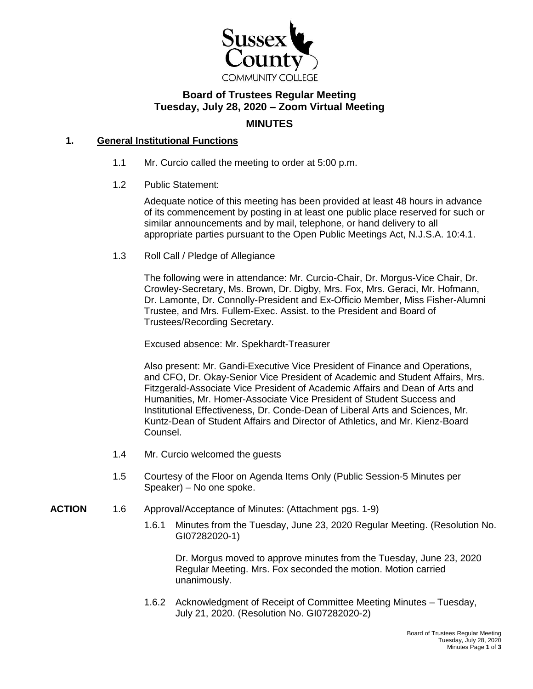

# **Board of Trustees Regular Meeting Tuesday, July 28, 2020 – Zoom Virtual Meeting**

# **MINUTES**

# **1. General Institutional Functions**

- 1.1 Mr. Curcio called the meeting to order at 5:00 p.m.
- 1.2 Public Statement:

Adequate notice of this meeting has been provided at least 48 hours in advance of its commencement by posting in at least one public place reserved for such or similar announcements and by mail, telephone, or hand delivery to all appropriate parties pursuant to the Open Public Meetings Act, N.J.S.A. 10:4.1.

1.3 Roll Call / Pledge of Allegiance

The following were in attendance: Mr. Curcio-Chair, Dr. Morgus-Vice Chair, Dr. Crowley-Secretary, Ms. Brown, Dr. Digby, Mrs. Fox, Mrs. Geraci, Mr. Hofmann, Dr. Lamonte, Dr. Connolly-President and Ex-Officio Member, Miss Fisher-Alumni Trustee, and Mrs. Fullem-Exec. Assist. to the President and Board of Trustees/Recording Secretary.

Excused absence: Mr. Spekhardt-Treasurer

Also present: Mr. Gandi-Executive Vice President of Finance and Operations, and CFO, Dr. Okay-Senior Vice President of Academic and Student Affairs, Mrs. Fitzgerald-Associate Vice President of Academic Affairs and Dean of Arts and Humanities, Mr. Homer-Associate Vice President of Student Success and Institutional Effectiveness, Dr. Conde-Dean of Liberal Arts and Sciences, Mr. Kuntz-Dean of Student Affairs and Director of Athletics, and Mr. Kienz-Board Counsel.

- 1.4 Mr. Curcio welcomed the guests
- 1.5 Courtesy of the Floor on Agenda Items Only (Public Session-5 Minutes per Speaker) – No one spoke.
- **ACTION** 1.6 Approval/Acceptance of Minutes: (Attachment pgs. 1-9)
	- 1.6.1 Minutes from the Tuesday, June 23, 2020 Regular Meeting. (Resolution No. GI07282020-1)

Dr. Morgus moved to approve minutes from the Tuesday, June 23, 2020 Regular Meeting. Mrs. Fox seconded the motion. Motion carried unanimously.

1.6.2 Acknowledgment of Receipt of Committee Meeting Minutes – Tuesday, July 21, 2020. (Resolution No. GI07282020-2)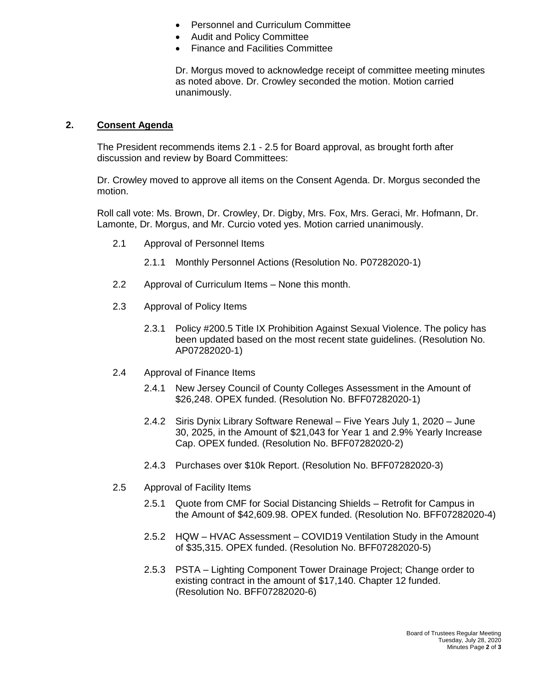- Personnel and Curriculum Committee
- Audit and Policy Committee
- Finance and Facilities Committee

Dr. Morgus moved to acknowledge receipt of committee meeting minutes as noted above. Dr. Crowley seconded the motion. Motion carried unanimously.

### **2. Consent Agenda**

The President recommends items 2.1 - 2.5 for Board approval, as brought forth after discussion and review by Board Committees:

Dr. Crowley moved to approve all items on the Consent Agenda. Dr. Morgus seconded the motion.

Roll call vote: Ms. Brown, Dr. Crowley, Dr. Digby, Mrs. Fox, Mrs. Geraci, Mr. Hofmann, Dr. Lamonte, Dr. Morgus, and Mr. Curcio voted yes. Motion carried unanimously.

- 2.1 Approval of Personnel Items
	- 2.1.1 Monthly Personnel Actions (Resolution No. P07282020-1)
- 2.2 Approval of Curriculum Items None this month.
- 2.3 Approval of Policy Items
	- 2.3.1 Policy #200.5 Title IX Prohibition Against Sexual Violence. The policy has been updated based on the most recent state guidelines. (Resolution No. AP07282020-1)
- 2.4 Approval of Finance Items
	- 2.4.1 New Jersey Council of County Colleges Assessment in the Amount of \$26,248. OPEX funded. (Resolution No. BFF07282020-1)
	- 2.4.2 Siris Dynix Library Software Renewal Five Years July 1, 2020 June 30, 2025, in the Amount of \$21,043 for Year 1 and 2.9% Yearly Increase Cap. OPEX funded. (Resolution No. BFF07282020-2)
	- 2.4.3 Purchases over \$10k Report. (Resolution No. BFF07282020-3)
- 2.5 Approval of Facility Items
	- 2.5.1 Quote from CMF for Social Distancing Shields Retrofit for Campus in the Amount of \$42,609.98. OPEX funded. (Resolution No. BFF07282020-4)
	- 2.5.2 HQW HVAC Assessment COVID19 Ventilation Study in the Amount of \$35,315. OPEX funded. (Resolution No. BFF07282020-5)
	- 2.5.3 PSTA Lighting Component Tower Drainage Project; Change order to existing contract in the amount of \$17,140. Chapter 12 funded. (Resolution No. BFF07282020-6)